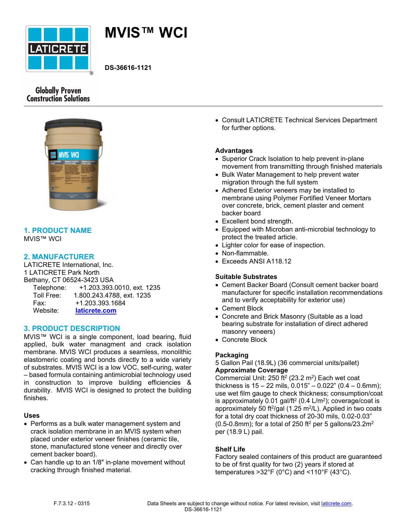



**DS-36616-1121**

# **Globally Proven Construction Solutions**



### **1. PRODUCT NAME** MVIS™ WCI

# **2. MANUFACTURER**

LATICRETE International, Inc. 1 LATICRETE Park North Bethany, CT 06524-3423 USA Telephone: +1.203.393.0010, ext. 1235 Toll Free: 1.800.243.4788, ext. 1235 Fax: +1.203.393.1684

Website: **[laticrete.com](https://laticrete.com/)**

### **3. PRODUCT DESCRIPTION**

MVIS™ WCI is a single component, load bearing, fluid applied, bulk water managment and crack isolation membrane. MVIS WCI produces a seamless, monolithic elastomeric coating and bonds directly to a wide variety of substrates. MVIS WCI is a low VOC, self-curing, water – based formula containing antimicrobial technology used in construction to improve building efficiencies & durability. MVIS WCI is designed to protect the building finishes.

### **Uses**

- Performs as a bulk water management system and crack isolation membrane in an MVIS system when placed under exterior veneer finishes (ceramic tile, stone, manufactured stone veneer and directly over cement backer board).
- Can handle up to an 1/8" in-plane movement without cracking through finished material.

• Consult LATICRETE Technical Services Department for further options.

### **Advantages**

- Superior Crack Isolation to help prevent in-plane movement from transmitting through finished materials
- Bulk Water Management to help prevent water migration through the full system
- Adhered Exterior veneers may be installed to membrane using Polymer Fortified Veneer Mortars over concrete, brick, cement plaster and cement backer board
- Excellent bond strength.
- Equipped with Microban anti-microbial technology to protect the treated article.
- Lighter color for ease of inspection.
- Non-flammable.
- Exceeds ANSI A118.12

### **Suitable Substrates**

- Cement Backer Board (Consult cement backer board manufacturer for specific installation recommendations and to verify acceptability for exterior use)
- Cement Block
- Concrete and Brick Masonry (Suitable as a load bearing substrate for installation of direct adhered masonry veneers)
- Concrete Block

### **Packaging**

5 Gallon Pail (18.9L) (36 commercial units/pallet) **Approximate Coverage**

Commercial Unit: 250 ft<sup>2</sup> (23.2 m<sup>2</sup>) Each wet coat thickness is  $15 - 22$  mils,  $0.015" - 0.022"$  (0.4  $- 0.6$ mm); use wet film gauge to check thickness; consumption/coat is approximately 0.01 gal/ft<sup>2</sup> (0.4 L/m<sup>2</sup>); coverage/coat is approximately 50 ft $2$ /gal (1.25 m $2$ /L). Applied in two coats for a total dry coat thickness of 20-30 mils, 0.02-0.03" (0.5-0.8mm); for a total of 250 ft<sup>2</sup> per 5 gallons/23.2m<sup>2</sup> per (18.9 L) pail.

### **Shelf Life**

Factory sealed containers of this product are guaranteed to be of first quality for two (2) years if stored at temperatures >32°F (0°C) and <110°F (43°C).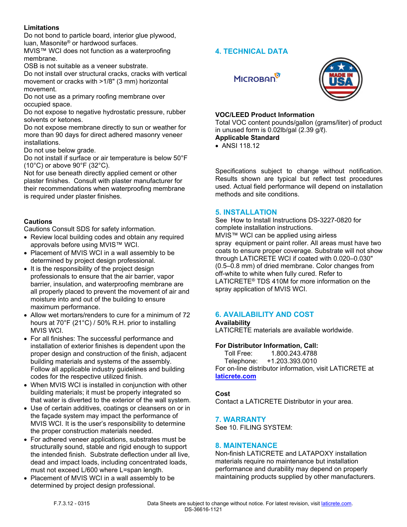### **Limitations**

Do not bond to particle board, interior glue plywood, luan, Masonite® or hardwood surfaces.

MVIS™ WCI does not function as a waterproofing membrane.

OSB is not suitable as a veneer substrate.

Do not install over structural cracks, cracks with vertical movement or cracks with >1/8" (3 mm) horizontal movement.

Do not use as a primary roofing membrane over occupied space.

Do not expose to negative hydrostatic pressure, rubber solvents or ketones.

Do not expose membrane directly to sun or weather for more than 90 days for direct adhered masonry veneer installations.

Do not use below grade.

Do not install if surface or air temperature is below 50°F (10°C) or above 90°F (32°C).

Not for use beneath directly applied cement or other plaster finishes. Consult with plaster manufacturer for their recommendations when waterproofing membrane is required under plaster finishes.

# **Cautions**

Cautions Consult SDS for safety information.

- Review local building codes and obtain any required approvals before using MVIS™ WCI.
- Placement of MVIS WCI in a wall assembly to be determined by project design professional.
- It is the responsibility of the project design professionals to ensure that the air barrier, vapor barrier, insulation, and waterproofing membrane are all properly placed to prevent the movement of air and moisture into and out of the building to ensure maximum performance.
- Allow wet mortars/renders to cure for a minimum of 72 hours at 70°F (21°C) / 50% R.H. prior to installing MVIS WCI.
- For all finishes: The successful performance and installation of exterior finishes is dependent upon the proper design and construction of the finish, adjacent building materials and systems of the assembly. Follow all applicable industry guidelines and building codes for the respective utilized finish.
- When MVIS WCI is installed in conjunction with other building materials; it must be properly integrated so that water is diverted to the exterior of the wall system.
- Use of certain additives, coatings or cleansers on or in the façade system may impact the performance of MVIS WCI. It is the user's responsibility to determine the proper construction materials needed.
- For adhered veneer applications, substrates must be structurally sound, stable and rigid enough to support the intended finish. Substrate deflection under all live, dead and impact loads, including concentrated loads, must not exceed L/600 where L=span length.
- Placement of MVIS WCI in a wall assembly to be determined by project design professional.

# **4. TECHNICAL DATA**

**MICROBAN** 



# **VOC/LEED Product Information**

Total VOC content pounds/gallon (grams/liter) of product in unused form is 0.02lb/gal (2.39 g/ℓ). **Applicable Standard**

# • ANSI 118.12

Specifications subject to change without notification. Results shown are typical but reflect test procedures used. Actual field performance will depend on installation methods and site conditions.

# **5. INSTALLATION**

See How to Install Instructions DS-3227-0820 for complete installation instructions. MVIS™ WCI can be applied using airless spray equipment or paint roller. All areas must have two coats to ensure proper coverage. Substrate will not show through LATICRETE WCI if coated with 0.020–0.030" (0.5–0.8 mm) of dried membrane. Color changes from off-white to white when fully cured. Refer to LATICRETE® TDS 410M for more information on the spray application of MVIS WCI.

# **6. AVAILABILITY AND COST**

**Availability**

LATICRETE materials are available worldwide.

### **For Distributor Information, Call:**

 Toll Free: 1.800.243.4788 Telephone: +1.203.393.0010 For on-line distributor information, visit LATICRETE at **[laticrete.com](https://laticrete.com/)**

### **Cost**

Contact a LATICRETE Distributor in your area.

### **7. WARRANTY**

See 10. FILING SYSTEM:

### **8. MAINTENANCE**

Non-finish LATICRETE and LATAPOXY installation materials require no maintenance but installation performance and durability may depend on properly maintaining products supplied by other manufacturers.